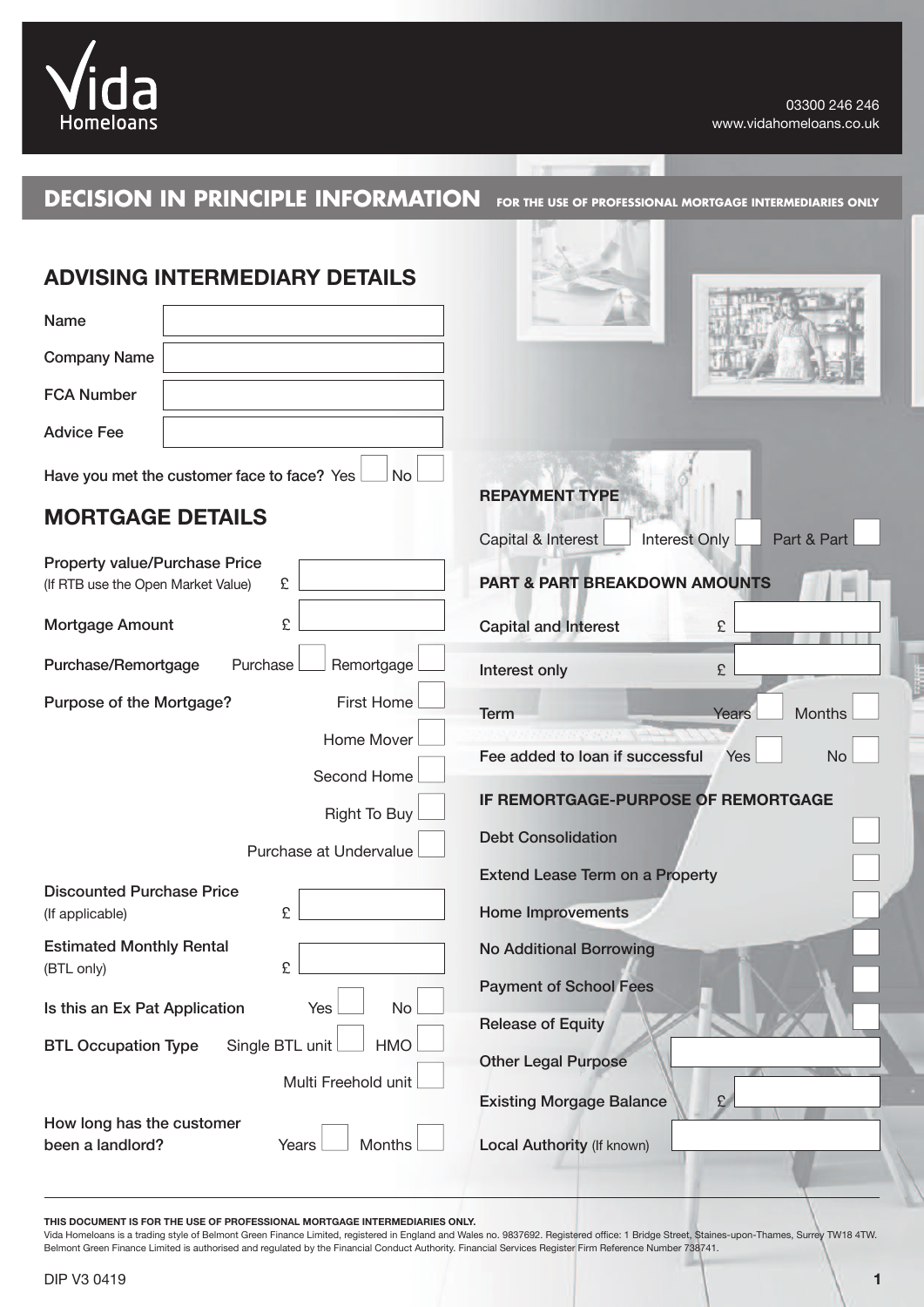

### **DECISION IN PRINCIPLE INFORMATION FOR THE USE OF PROFESSIONAL MORTGAGE INTERMEDIARIES ONLY**

| <b>ADVISING INTERMEDIARY DETAILS</b>                                            |                                                                             |
|---------------------------------------------------------------------------------|-----------------------------------------------------------------------------|
| Name                                                                            |                                                                             |
| <b>Company Name</b>                                                             |                                                                             |
| <b>FCA Number</b>                                                               |                                                                             |
| <b>Advice Fee</b>                                                               |                                                                             |
| No<br>Have you met the customer face to face? Yes<br><b>MORTGAGE DETAILS</b>    | <b>REPAYMENT TYPE</b><br>Capital & Interest<br>Part & Part<br>Interest Only |
| <b>Property value/Purchase Price</b><br>£<br>(If RTB use the Open Market Value) | <b>PART &amp; PART BREAKDOWN AMOUNTS</b>                                    |
| £<br>Mortgage Amount                                                            | <b>Capital and Interest</b><br>£                                            |
| Purchase<br>Remortgage<br>Purchase/Remortgage                                   | £<br>Interest only                                                          |
| <b>First Home</b><br>Purpose of the Mortgage?                                   | <b>Months</b><br><b>Term</b><br>Years                                       |
| Home Mover<br>Second Home                                                       | Fee added to loan if successful<br>Yes<br><b>No</b>                         |
| <b>Right To Buy</b>                                                             | IF REMORTGAGE-PURPOSE OF REMORTGAGE                                         |
| Purchase at Undervalue                                                          | <b>Debt Consolidation</b>                                                   |
| <b>Discounted Purchase Price</b><br>£<br>(If applicable)                        | <b>Extend Lease Term on a Property</b><br><b>Home Improvements</b>          |
| <b>Estimated Monthly Rental</b><br>£<br>(BTL only)                              | <b>No Additional Borrowing</b>                                              |
| <b>No</b><br>Is this an Ex Pat Application<br>Yes                               | <b>Payment of School Fees</b><br><b>Release of Equity</b>                   |
| Single BTL unit<br><b>HMO</b><br><b>BTL Occupation Type</b>                     | <b>Other Legal Purpose</b>                                                  |
| Multi Freehold unit                                                             | <b>Existing Morgage Balance</b><br>£                                        |
| How long has the customer<br>Months<br>been a landlord?<br>Years                | Local Authority (If known)                                                  |

**THIS DOCUMENT IS FOR THE USE OF PROFESSIONAL MORTGAGE INTERMEDIARIES ONLY.**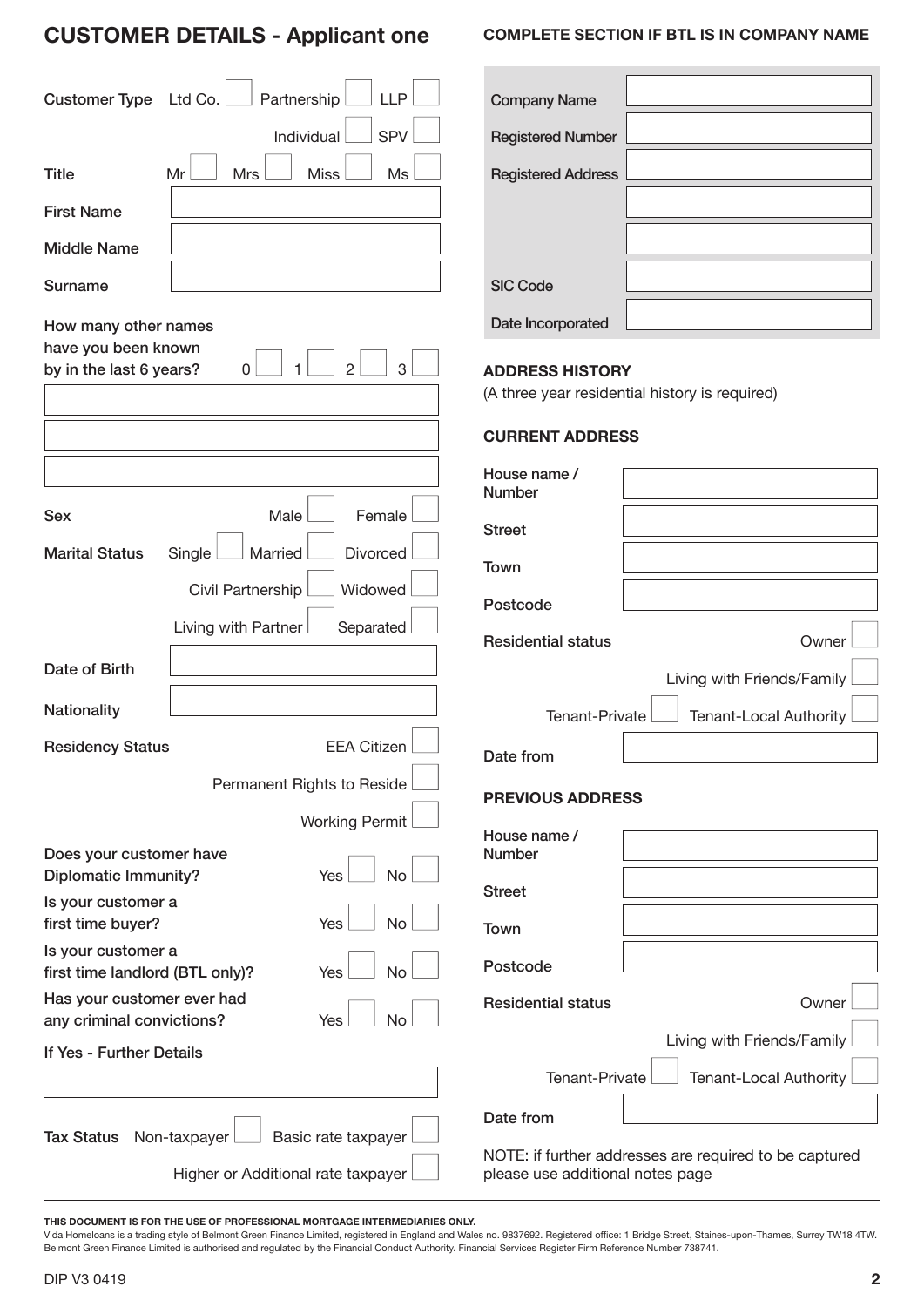## **CustomeR detaILs - applicant one**

| <b>LLP</b><br><b>Customer Type</b><br>Partnership<br>Ltd Co.       | <b>Company Name</b>                                                      |
|--------------------------------------------------------------------|--------------------------------------------------------------------------|
| <b>SPV</b><br>Individual                                           | <b>Registered Number</b>                                                 |
| <b>Title</b><br>Mr<br><b>Mrs</b><br><b>Miss</b><br>Ms              | <b>Registered Address</b>                                                |
| <b>First Name</b>                                                  |                                                                          |
| <b>Middle Name</b>                                                 |                                                                          |
| <b>Surname</b>                                                     | <b>SIC Code</b>                                                          |
| How many other names                                               | Date Incorporated                                                        |
| have you been known<br>3<br>by in the last 6 years?<br>2<br>0      | <b>ADDRESS HISTORY</b><br>(A three year residential history is required) |
|                                                                    | <b>CURRENT ADDRESS</b>                                                   |
|                                                                    | House name /<br><b>Number</b>                                            |
| Male<br>Female<br><b>Sex</b>                                       | <b>Street</b>                                                            |
| Married<br>Divorced<br><b>Marital Status</b><br>Single             | Town                                                                     |
| Widowed<br>Civil Partnership                                       | Postcode                                                                 |
| Separated<br>Living with Partner                                   | <b>Residential status</b><br>Owner                                       |
| Date of Birth                                                      | Living with Friends/Family                                               |
| <b>Nationality</b>                                                 |                                                                          |
|                                                                    |                                                                          |
| <b>Residency Status</b><br><b>EEA Citizen</b>                      | Tenant-Local Authority<br>Tenant-Private                                 |
| Permanent Rights to Reside                                         | Date from                                                                |
| <b>Working Permit</b>                                              | <b>PREVIOUS ADDRESS</b>                                                  |
| Does your customer have                                            | House name /<br><b>Number</b>                                            |
| <b>Diplomatic Immunity?</b><br>Yes<br>No                           | <b>Street</b>                                                            |
| Is your customer a<br><b>No</b><br>first time buyer?<br>Yes        | Town                                                                     |
| Is your customer a<br>first time landlord (BTL only)?<br>No<br>Yes | Postcode                                                                 |
| Has your customer ever had                                         | <b>Residential status</b><br>Owner                                       |
| any criminal convictions?<br>Yes<br>No<br>If Yes - Further Details | Living with Friends/Family                                               |
|                                                                    | Tenant-Local Authority<br>Tenant-Private                                 |
| Non-taxpayer<br>Basic rate taxpayer<br><b>Tax Status</b>           | Date from                                                                |

#### **THIS DOCUMENT IS FOR THE USE OF PROFESSIONAL MORTGAGE INTERMEDIARIES ONLY.**

Vida Homeloans is a trading style of Belmont Green Finance Limited, registered in England and Wales no. 9837692. Registered office: 1 Bridge Street, Staines-upon-Thames, Surrey TW18 4TW. Belmont Green Finance Limited is authorised and regulated by the Financial Conduct Authority. Financial Services Register Firm Reference Number 738741.

#### **CompLete seCtIon If btL Is In Company name**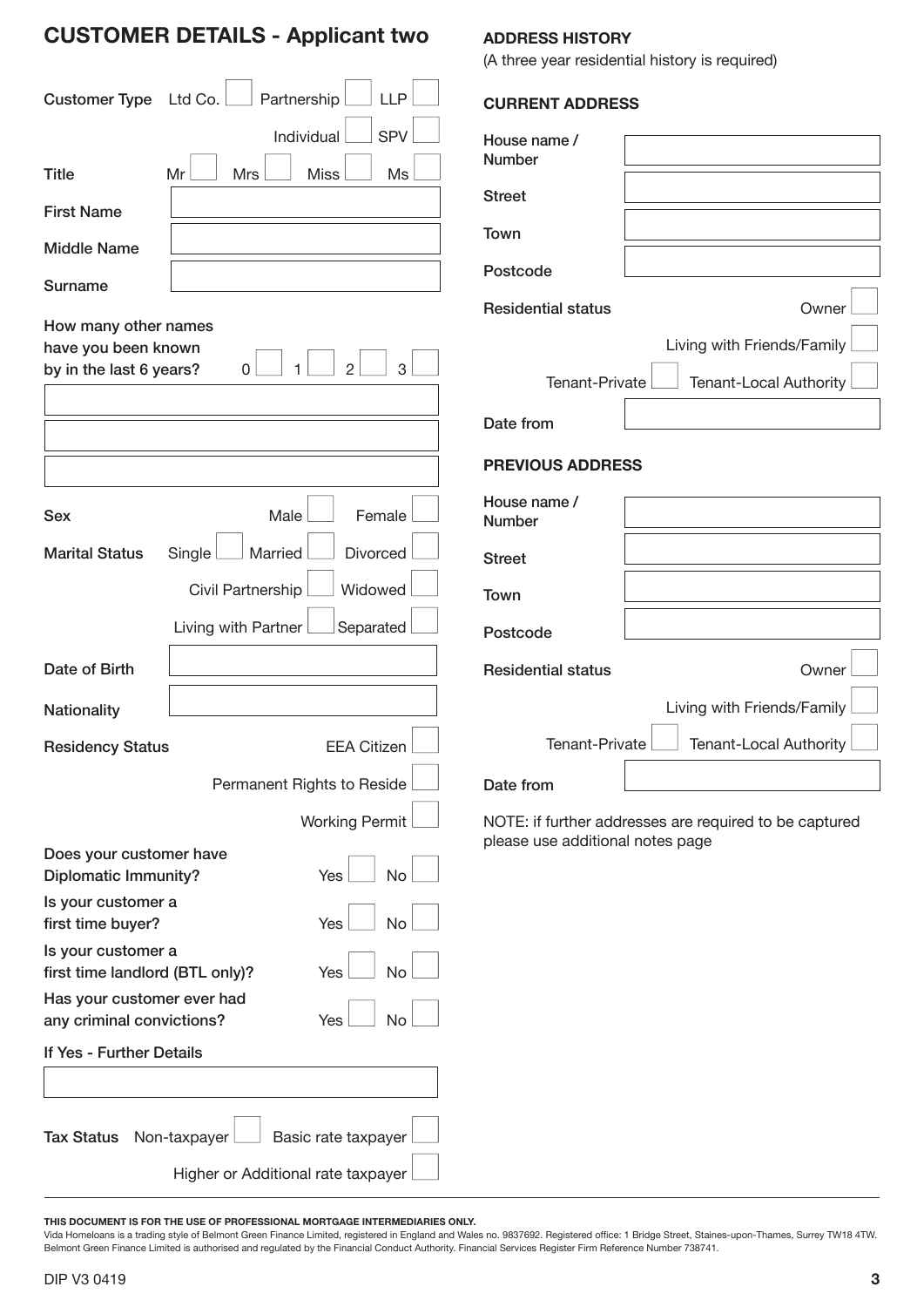## **CustomeR detaILs - applicant two**

| <b>Customer Type</b>                                                   | <b>LLP</b><br>Ltd Co.<br>Partnership<br><b>SPV</b><br>Individual | <b>CURRENT ADDRESS</b><br>House name / |                                                        |
|------------------------------------------------------------------------|------------------------------------------------------------------|----------------------------------------|--------------------------------------------------------|
| <b>Title</b>                                                           | <b>Miss</b><br>Mr<br><b>Mrs</b><br>Ms                            | <b>Number</b>                          |                                                        |
| <b>First Name</b>                                                      |                                                                  | <b>Street</b>                          |                                                        |
| <b>Middle Name</b>                                                     |                                                                  | Town                                   |                                                        |
| Surname                                                                |                                                                  | Postcode                               |                                                        |
|                                                                        |                                                                  | <b>Residential status</b>              | Owner                                                  |
| How many other names<br>have you been known<br>by in the last 6 years? | $\overline{2}$<br>3<br>0                                         | Tenant-Private                         | Living with Friends/Family<br>Tenant-Local Authority   |
|                                                                        |                                                                  | Date from                              |                                                        |
|                                                                        |                                                                  | <b>PREVIOUS ADDRESS</b>                |                                                        |
| <b>Sex</b>                                                             | Male<br>Female                                                   | House name /<br><b>Number</b>          |                                                        |
| <b>Marital Status</b>                                                  | Divorced<br>Married<br>Single                                    | <b>Street</b>                          |                                                        |
|                                                                        | Widowed<br>Civil Partnership                                     | Town                                   |                                                        |
|                                                                        | Separated<br>Living with Partner                                 | Postcode                               |                                                        |
| Date of Birth                                                          |                                                                  | <b>Residential status</b>              | Owner                                                  |
| <b>Nationality</b>                                                     |                                                                  |                                        | Living with Friends/Family                             |
| <b>Residency Status</b>                                                | <b>EEA Citizen</b>                                               | Tenant-Private                         | <b>Tenant-Local Authority</b>                          |
|                                                                        | Permanent Rights to Reside                                       | Date from                              |                                                        |
|                                                                        | <b>Working Permit</b>                                            | please use additional notes page       | NOTE: if further addresses are required to be captured |
| Does your customer have<br><b>Diplomatic Immunity?</b>                 | No<br>Yes                                                        |                                        |                                                        |
| Is your customer a<br>first time buyer?                                | <b>No</b><br>Yes                                                 |                                        |                                                        |
| Is your customer a<br>first time landlord (BTL only)?                  | <b>No</b><br>Yes                                                 |                                        |                                                        |
| Has your customer ever had<br>any criminal convictions?                | <b>No</b><br>Yes                                                 |                                        |                                                        |
| If Yes - Further Details                                               |                                                                  |                                        |                                                        |
|                                                                        |                                                                  |                                        |                                                        |
| <b>Tax Status</b>                                                      | Basic rate taxpayer<br>Non-taxpayer                              |                                        |                                                        |
|                                                                        | Higher or Additional rate taxpayer                               |                                        |                                                        |

**addRess HIstoRy**

(A three year residential history is required)

**THIS DOCUMENT IS FOR THE USE OF PROFESSIONAL MORTGAGE INTERMEDIARIES ONLY.**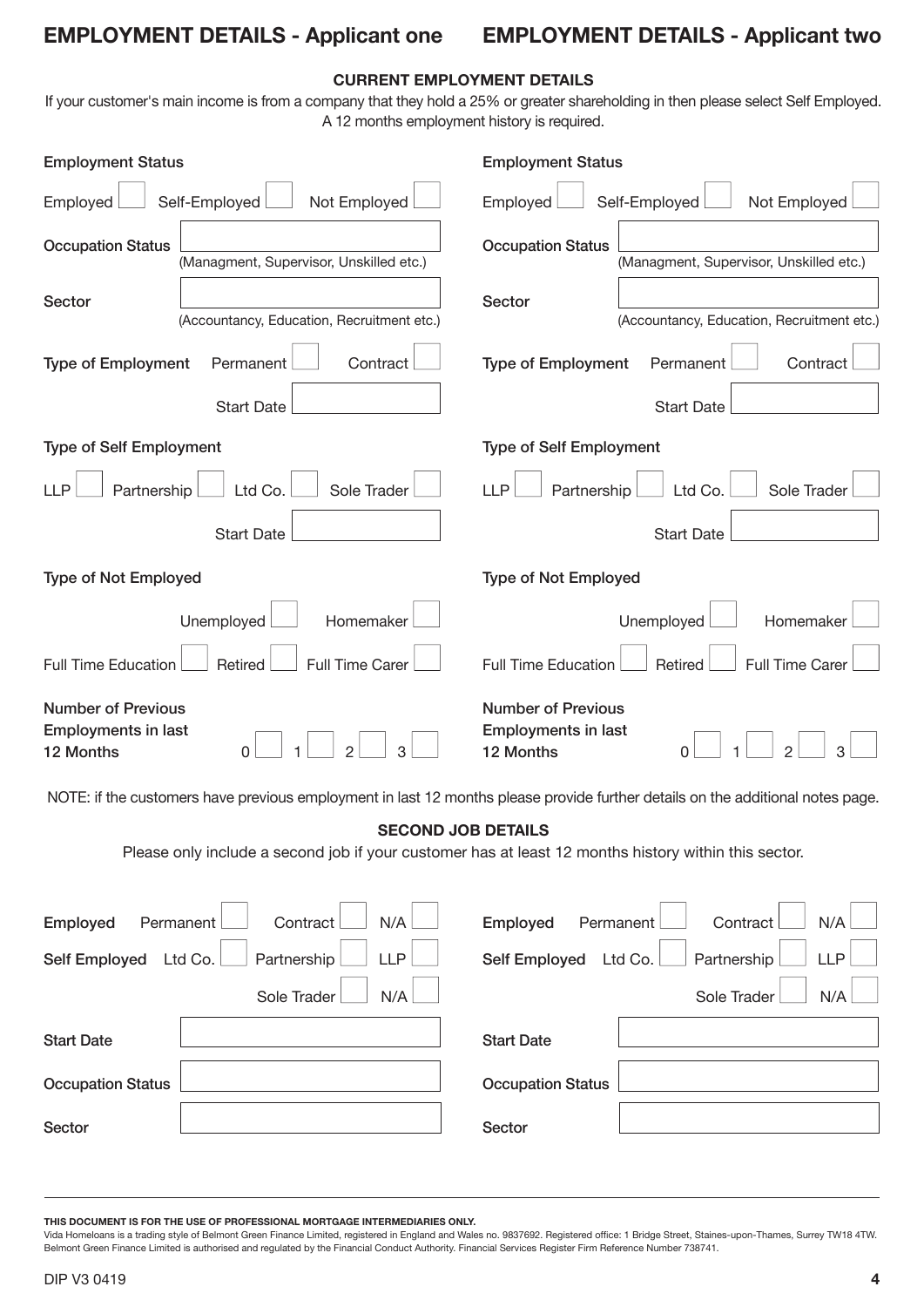### **empLoyment detaILs - applicant one**

## **empLoyment detaILs - applicant two**

### **CuRRent empLoyment detaILs**

If your customer's main income is from a company that they hold a 25% or greater shareholding in then please select Self Employed. A 12 months employment history is required.

| <b>Employment Status</b>                                                                                                          | <b>Employment Status</b>                                             |  |  |
|-----------------------------------------------------------------------------------------------------------------------------------|----------------------------------------------------------------------|--|--|
| Not Employed<br>Employed<br>Self-Employed                                                                                         | Employed<br>Self-Employed<br>Not Employed                            |  |  |
| <b>Occupation Status</b><br>(Managment, Supervisor, Unskilled etc.)                                                               | <b>Occupation Status</b><br>(Managment, Supervisor, Unskilled etc.)  |  |  |
| Sector<br>(Accountancy, Education, Recruitment etc.)                                                                              | Sector<br>(Accountancy, Education, Recruitment etc.)                 |  |  |
| <b>Type of Employment</b><br>Permanent<br>Contract                                                                                | <b>Type of Employment</b><br>Permanent<br>Contract                   |  |  |
| <b>Start Date</b>                                                                                                                 | <b>Start Date</b>                                                    |  |  |
| <b>Type of Self Employment</b>                                                                                                    | <b>Type of Self Employment</b>                                       |  |  |
| <b>LLP</b><br>Sole Trader<br>Partnership<br>Ltd Co.                                                                               | <b>LLP</b><br>Sole Trader<br>Partnership<br>Ltd Co.                  |  |  |
| <b>Start Date</b>                                                                                                                 | <b>Start Date</b>                                                    |  |  |
| <b>Type of Not Employed</b>                                                                                                       | <b>Type of Not Employed</b>                                          |  |  |
| Unemployed<br>Homemaker                                                                                                           | Unemployed<br>Homemaker                                              |  |  |
| <b>Full Time Education</b><br><b>Full Time Carer</b><br>Retired                                                                   | <b>Full Time Carer</b><br><b>Full Time Education</b><br>Retired      |  |  |
| <b>Number of Previous</b><br><b>Employments in last</b><br>3<br>12 Months<br>Ω                                                    | <b>Number of Previous</b><br><b>Employments in last</b><br>12 Months |  |  |
| NOTE: if the customers have previous employment in last 12 months please provide further details on the additional notes page.    |                                                                      |  |  |
| <b>SECOND JOB DETAILS</b><br>Please only include a second job if your customer has at least 12 months history within this sector. |                                                                      |  |  |
| N/A<br>Contract<br>Employed<br>Permanent                                                                                          | Contract<br>N/A<br>Employed<br>Permanent                             |  |  |
| <b>LLP</b><br><b>Self Employed</b><br>Partnership<br>Ltd Co.                                                                      | <b>Self Employed</b><br>Partnership<br><b>LLP</b><br>Ltd Co.         |  |  |
| N/A<br>Sole Trader                                                                                                                | Sole Trader<br>N/A                                                   |  |  |
| <b>Start Date</b>                                                                                                                 | <b>Start Date</b>                                                    |  |  |
| <b>Occupation Status</b>                                                                                                          | <b>Occupation Status</b>                                             |  |  |
| Sector                                                                                                                            | Sector                                                               |  |  |

**THIS DOCUMENT IS FOR THE USE OF PROFESSIONAL MORTGAGE INTERMEDIARIES ONLY.**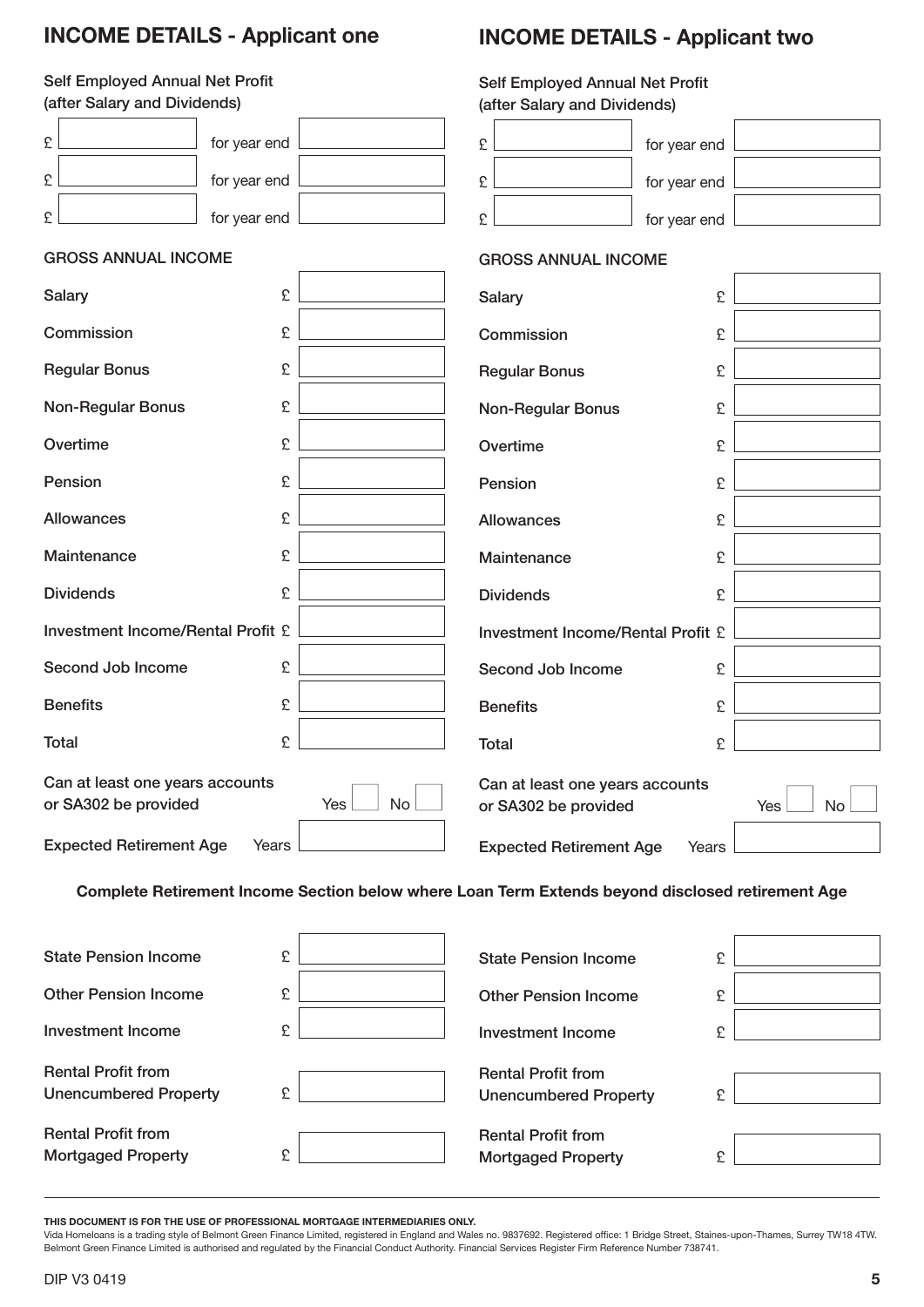## **InCome detaILs - applicant one**

# **InCome detaILs - applicant two**

### Self Employed Annual Net Profit

| Self Employed Annual Net Profit                         |                                                                                                  |              | Self Employed Annual Net Profit<br>(after Salary and Dividends) |              |     |    |
|---------------------------------------------------------|--------------------------------------------------------------------------------------------------|--------------|-----------------------------------------------------------------|--------------|-----|----|
| (after Salary and Dividends)                            |                                                                                                  |              |                                                                 |              |     |    |
| £                                                       | for year end                                                                                     | £            |                                                                 | for year end |     |    |
| £                                                       | for year end                                                                                     | £            |                                                                 | for year end |     |    |
| £                                                       | for year end                                                                                     | £            |                                                                 | for year end |     |    |
| <b>GROSS ANNUAL INCOME</b>                              |                                                                                                  |              | <b>GROSS ANNUAL INCOME</b>                                      |              |     |    |
| <b>Salary</b>                                           | £                                                                                                |              | <b>Salary</b>                                                   | £            |     |    |
| Commission                                              | £                                                                                                |              | Commission                                                      | £            |     |    |
| <b>Regular Bonus</b>                                    | £                                                                                                |              | <b>Regular Bonus</b>                                            | £            |     |    |
| <b>Non-Regular Bonus</b>                                | £                                                                                                |              | <b>Non-Regular Bonus</b>                                        | £            |     |    |
| Overtime                                                | £                                                                                                |              | Overtime                                                        | £            |     |    |
| Pension                                                 | £                                                                                                |              | Pension                                                         | £            |     |    |
| Allowances                                              | £                                                                                                |              | <b>Allowances</b>                                               | £            |     |    |
| Maintenance                                             | £                                                                                                |              | Maintenance                                                     | £            |     |    |
| <b>Dividends</b>                                        | £                                                                                                |              | <b>Dividends</b>                                                | £            |     |    |
| <b>Investment Income/Rental Profit £</b>                |                                                                                                  |              | <b>Investment Income/Rental Profit £</b>                        |              |     |    |
| Second Job Income                                       | £                                                                                                |              | Second Job Income                                               | £            |     |    |
| <b>Benefits</b>                                         | £                                                                                                |              | <b>Benefits</b>                                                 | £            |     |    |
| <b>Total</b>                                            | £                                                                                                | <b>Total</b> |                                                                 | £            |     |    |
| Can at least one years accounts<br>or SA302 be provided | Yes                                                                                              | No           | Can at least one years accounts<br>or SA302 be provided         |              | Yes | No |
| <b>Expected Retirement Age</b>                          | Years                                                                                            |              | <b>Expected Retirement Age</b>                                  | Years        |     |    |
|                                                         | Complete Retirement Income Section below where Loan Term Extends beyond disclosed retirement Age |              |                                                                 |              |     |    |
| <b>State Pension Income</b>                             | £                                                                                                |              | <b>State Pension Income</b>                                     | £            |     |    |
| <b>Other Pension Income</b>                             | £                                                                                                |              | <b>Other Pension Income</b>                                     | £            |     |    |
| <b>Investment Income</b>                                | £                                                                                                |              | <b>Investment Income</b>                                        | £            |     |    |
| <b>Rental Profit from</b>                               |                                                                                                  |              | <b>Rental Profit from</b>                                       |              |     |    |

| <b>State Pension Income</b>  | £ | <b>State Pension Income</b>                               | £ |
|------------------------------|---|-----------------------------------------------------------|---|
| <b>Other Pension Income</b>  | £ | <b>Other Pension Income</b>                               | £ |
| Investment Income            | ¢ | Investment Income                                         | £ |
| <b>Rental Profit from</b>    |   |                                                           |   |
| <b>Unencumbered Property</b> | £ | <b>Rental Profit from</b><br><b>Unencumbered Property</b> | £ |

**THIS DOCUMENT IS FOR THE USE OF PROFESSIONAL MORTGAGE INTERMEDIARIES ONLY.**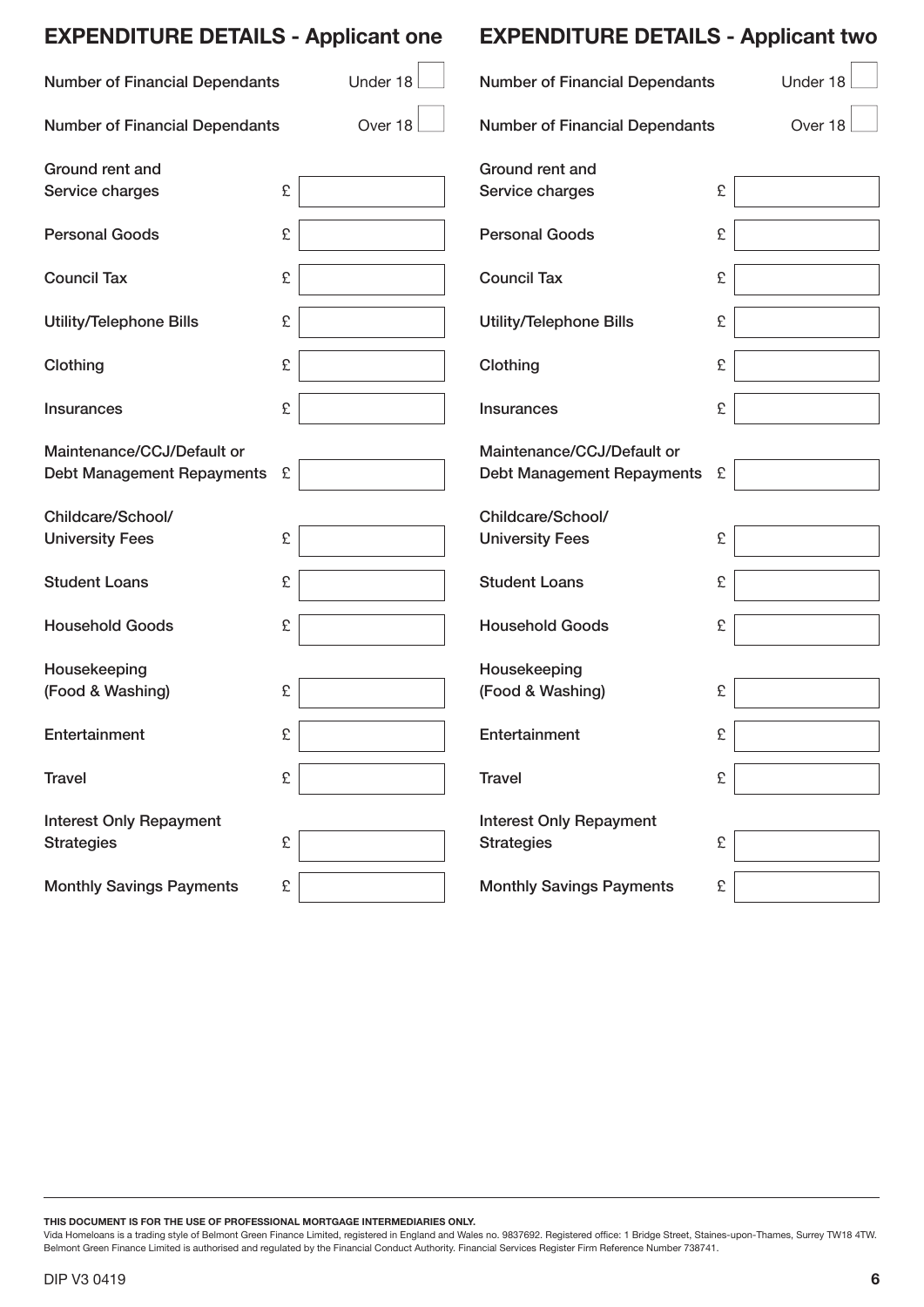| <b>EXPENDITURE DETAILS - Applicant one</b> |   |          | <b>EXPENDITURE DETAILS - Applicant two</b> |          |  |
|--------------------------------------------|---|----------|--------------------------------------------|----------|--|
| <b>Number of Financial Dependants</b>      |   | Under 18 | <b>Number of Financial Dependants</b>      | Under 18 |  |
| <b>Number of Financial Dependants</b>      |   | Over 18  | <b>Number of Financial Dependants</b>      | Over 18  |  |
| Ground rent and                            |   |          | Ground rent and                            |          |  |
| Service charges                            | £ |          | Service charges                            | £        |  |
| <b>Personal Goods</b>                      | £ |          | <b>Personal Goods</b>                      | £        |  |
| <b>Council Tax</b>                         | £ |          | <b>Council Tax</b>                         | £        |  |
| <b>Utility/Telephone Bills</b>             | £ |          | <b>Utility/Telephone Bills</b>             | £        |  |
| Clothing                                   | £ |          | Clothing                                   | £        |  |
| <b>Insurances</b>                          | £ |          | <b>Insurances</b>                          | £        |  |
| Maintenance/CCJ/Default or                 |   |          | Maintenance/CCJ/Default or                 |          |  |
| <b>Debt Management Repayments</b>          | £ |          | Debt Management Repayments                 | £        |  |
| Childcare/School/                          |   |          | Childcare/School/                          |          |  |
| <b>University Fees</b>                     | £ |          | <b>University Fees</b>                     | £        |  |
| <b>Student Loans</b>                       | £ |          | <b>Student Loans</b>                       | £        |  |
| <b>Household Goods</b>                     | £ |          | <b>Household Goods</b>                     | £        |  |
| Housekeeping                               |   |          | Housekeeping                               |          |  |
| (Food & Washing)                           | £ |          | (Food & Washing)                           | £        |  |
| Entertainment                              | £ |          | Entertainment                              | £        |  |
| <b>Travel</b>                              | £ |          | <b>Travel</b>                              | £        |  |
| <b>Interest Only Repayment</b>             |   |          | <b>Interest Only Repayment</b>             |          |  |
| <b>Strategies</b>                          | £ |          | <b>Strategies</b>                          | £        |  |
| <b>Monthly Savings Payments</b>            | £ |          | <b>Monthly Savings Payments</b>            | £        |  |

**THIS DOCUMENT IS FOR THE USE OF PROFESSIONAL MORTGAGE INTERMEDIARIES ONLY.**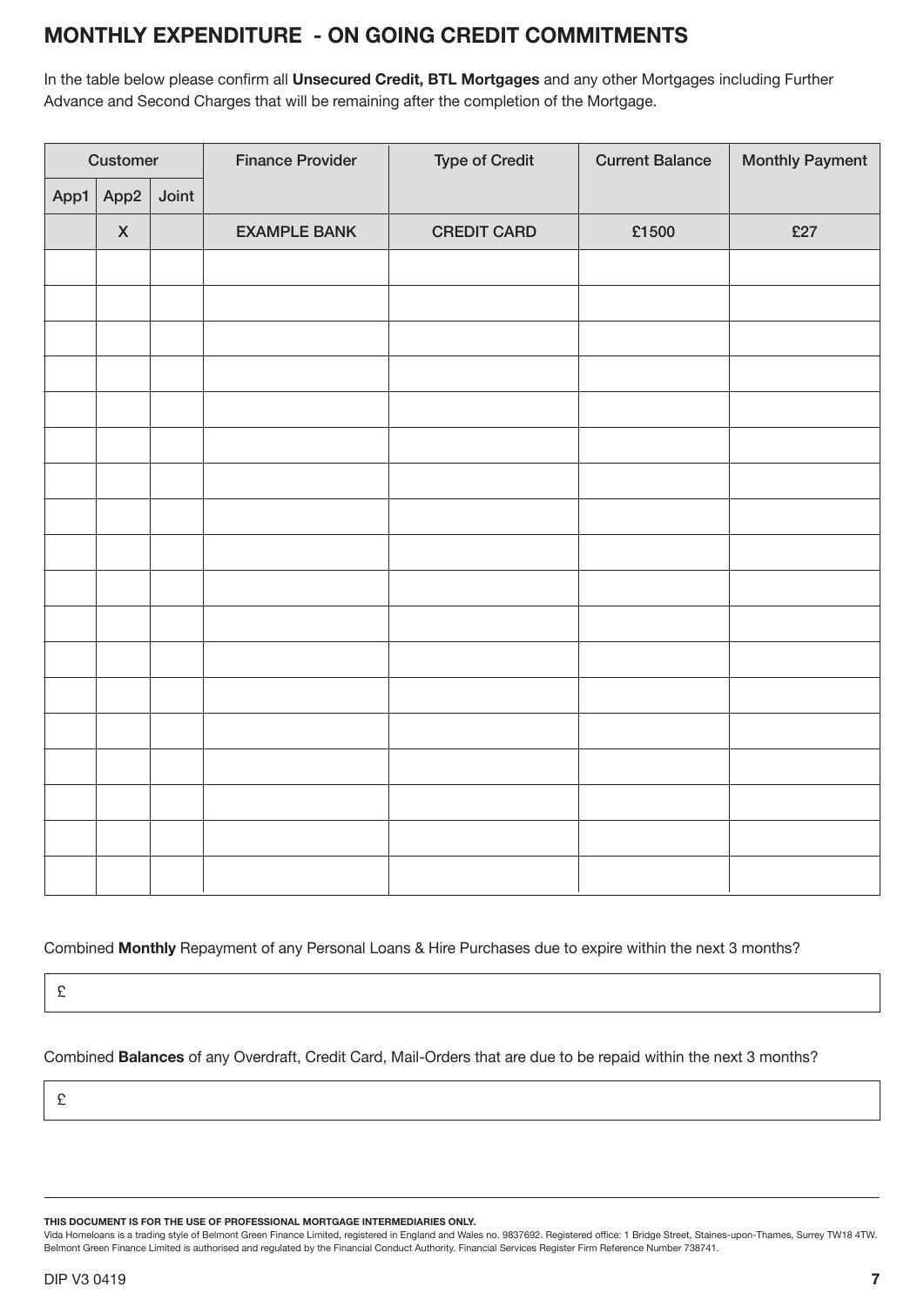## **montHLy eXpendItuRe - on goIng CRedIt CommItments**

In the table below please confirm all **Unsecured Credit, BTL Mortgages** and any other Mortgages including Further Advance and Second Charges that will be remaining after the completion of the Mortgage.

| Customer |                           |       | <b>Finance Provider</b> | <b>Type of Credit</b> | <b>Current Balance</b> | <b>Monthly Payment</b> |
|----------|---------------------------|-------|-------------------------|-----------------------|------------------------|------------------------|
| App1     | App2                      | Joint |                         |                       |                        |                        |
|          | $\boldsymbol{\mathsf{X}}$ |       | <b>EXAMPLE BANK</b>     | <b>CREDIT CARD</b>    | £1500                  | £27                    |
|          |                           |       |                         |                       |                        |                        |
|          |                           |       |                         |                       |                        |                        |
|          |                           |       |                         |                       |                        |                        |
|          |                           |       |                         |                       |                        |                        |
|          |                           |       |                         |                       |                        |                        |
|          |                           |       |                         |                       |                        |                        |
|          |                           |       |                         |                       |                        |                        |
|          |                           |       |                         |                       |                        |                        |
|          |                           |       |                         |                       |                        |                        |
|          |                           |       |                         |                       |                        |                        |
|          |                           |       |                         |                       |                        |                        |
|          |                           |       |                         |                       |                        |                        |
|          |                           |       |                         |                       |                        |                        |
|          |                           |       |                         |                       |                        |                        |
|          |                           |       |                         |                       |                        |                        |
|          |                           |       |                         |                       |                        |                        |
|          |                           |       |                         |                       |                        |                        |
|          |                           |       |                         |                       |                        |                        |

#### Combined **monthly** Repayment of any Personal Loans & Hire Purchases due to expire within the next 3 months?

£

Combined **balances** of any Overdraft, Credit Card, Mail-Orders that are due to be repaid within the next 3 months?

£

**THIS DOCUMENT IS FOR THE USE OF PROFESSIONAL MORTGAGE INTERMEDIARIES ONLY.**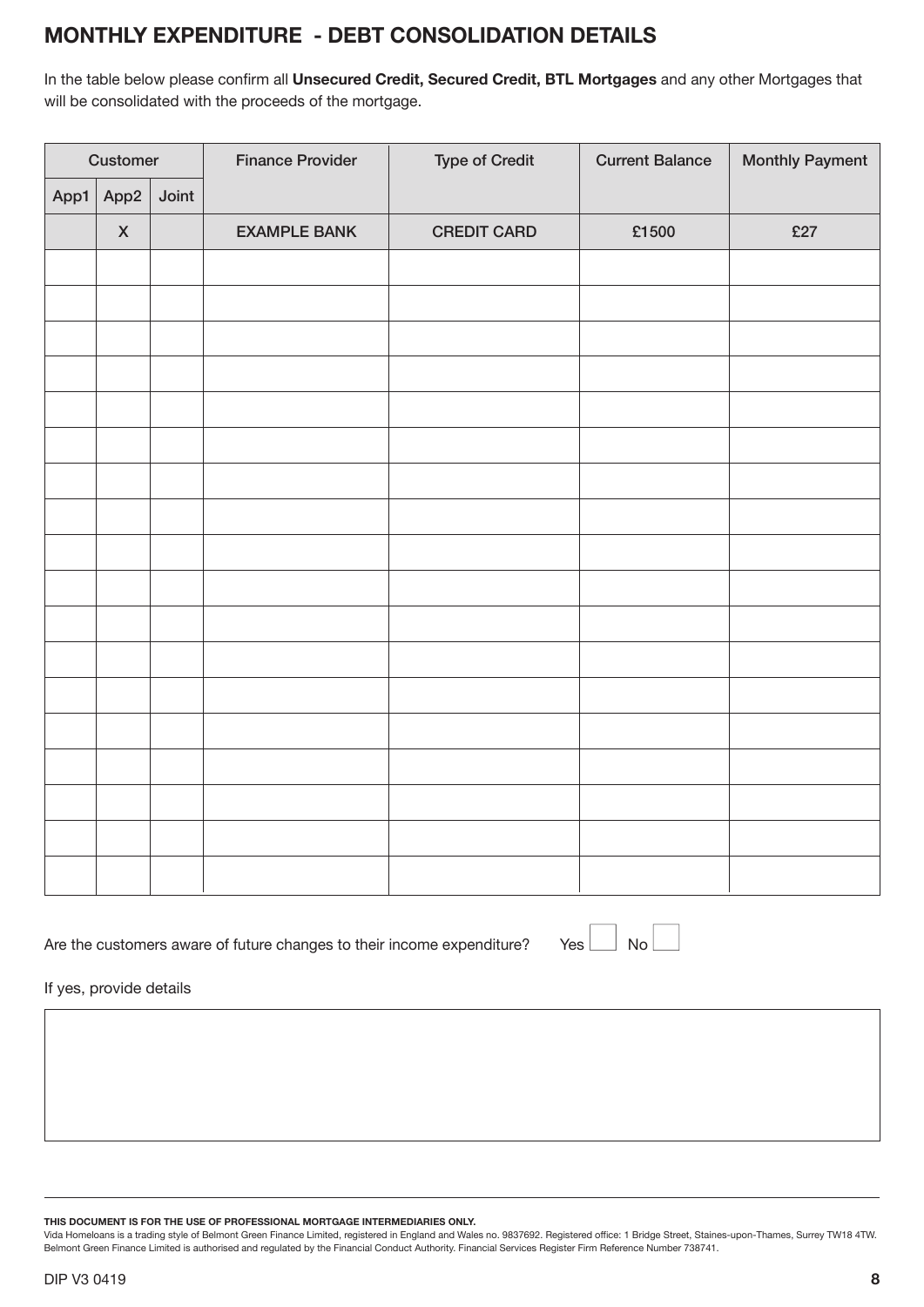## **montHLy eXpendItuRe - debt ConsoLIdatIon detaILs**

In the table below please confirm all **unsecured Credit, secured Credit, btL mortgages** and any other Mortgages that will be consolidated with the proceeds of the mortgage.

| Customer |                    |       | <b>Finance Provider</b> | <b>Type of Credit</b> | <b>Current Balance</b> | <b>Monthly Payment</b> |  |
|----------|--------------------|-------|-------------------------|-----------------------|------------------------|------------------------|--|
| App1     | App2               | Joint |                         |                       |                        |                        |  |
|          | $\pmb{\mathsf{X}}$ |       | <b>EXAMPLE BANK</b>     | <b>CREDIT CARD</b>    | £1500                  | £27                    |  |
|          |                    |       |                         |                       |                        |                        |  |
|          |                    |       |                         |                       |                        |                        |  |
|          |                    |       |                         |                       |                        |                        |  |
|          |                    |       |                         |                       |                        |                        |  |
|          |                    |       |                         |                       |                        |                        |  |
|          |                    |       |                         |                       |                        |                        |  |
|          |                    |       |                         |                       |                        |                        |  |
|          |                    |       |                         |                       |                        |                        |  |
|          |                    |       |                         |                       |                        |                        |  |
|          |                    |       |                         |                       |                        |                        |  |
|          |                    |       |                         |                       |                        |                        |  |
|          |                    |       |                         |                       |                        |                        |  |
|          |                    |       |                         |                       |                        |                        |  |
|          |                    |       |                         |                       |                        |                        |  |
|          |                    |       |                         |                       |                        |                        |  |
|          |                    |       |                         |                       |                        |                        |  |
|          |                    |       |                         |                       |                        |                        |  |
|          |                    |       |                         |                       |                        |                        |  |

Are the customers aware of future changes to their income expenditure? Yes  $\Box$  No $\Box$ 

If yes, provide details

**THIS DOCUMENT IS FOR THE USE OF PROFESSIONAL MORTGAGE INTERMEDIARIES ONLY.**